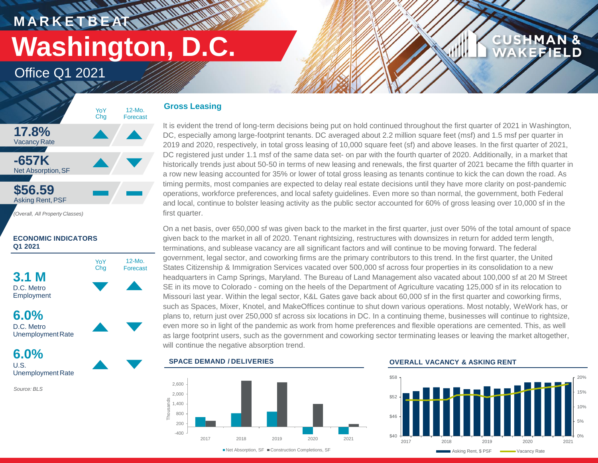**M A R K E T B E AT Washington, D.C.**

Ul Man

**HARRY AND WAR** 

Office Q1 2021



### **ECONOMIC INDICATORS Q1 2021**



D.C. Metro UnemploymentRate

**6.0%** U.S. Unemployment Rate

*Source: BLS*

### **Gross Leasing**

It is evident the trend of long-term decisions being put on hold continued throughout the first quarter of 2021 in Washington, DC, especially among large-footprint tenants. DC averaged about 2.2 million square feet (msf) and 1.5 msf per quarter in 2019 and 2020, respectively, in total gross leasing of 10,000 square feet (sf) and above leases. In the first quarter of 2021, DC registered just under 1.1 msf of the same data set- on par with the fourth quarter of 2020. Additionally, in a market that historically trends just about 50-50 in terms of new leasing and renewals, the first quarter of 2021 became the fifth quarter in a row new leasing accounted for 35% or lower of total gross leasing as tenants continue to kick the can down the road. As timing permits, most companies are expected to delay real estate decisions until they have more clarity on post-pandemic operations, workforce preferences, and local safety guidelines. Even more so than normal, the government, both Federal and local, continue to bolster leasing activity as the public sector accounted for 60% of gross leasing over 10,000 sf in the first quarter.

On a net basis, over 650,000 sf was given back to the market in the first quarter, just over 50% of the total amount of space given back to the market in all of 2020. Tenant rightsizing, restructures with downsizes in return for added term length, terminations, and sublease vacancy are all significant factors and will continue to be moving forward. The federal government, legal sector, and coworking firms are the primary contributors to this trend. In the first quarter, the United States Citizenship & Immigration Services vacated over 500,000 sf across four properties in its consolidation to a new headquarters in Camp Springs, Maryland. The Bureau of Land Management also vacated about 100,000 sf at 20 M Street SE in its move to Colorado - coming on the heels of the Department of Agriculture vacating 125,000 sf in its relocation to Missouri last year. Within the legal sector, K&L Gates gave back about 60,000 sf in the first quarter and coworking firms, such as Spaces, Mixer, Knotel, and MakeOffices continue to shut down various operations. Most notably, WeWork has, or plans to, return just over 250,000 sf across six locations in DC. In a continuing theme, businesses will continue to rightsize, even more so in light of the pandemic as work from home preferences and flexible operations are cemented. This, as well as large footprint users, such as the government and coworking sector terminating leases or leaving the market altogether, will continue the negative absorption trend.

### **SPACE DEMAND / DELIVERIES**



### **OVERALL VACANCY & ASKING RENT**



**CUSHMAN &** 

**KEFIELD**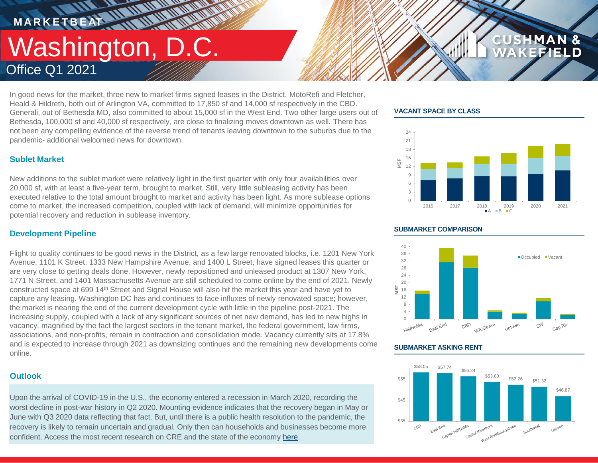### **MARKETBEAT 11 MMWWWW THE AN ANTIQUE AND THE ANGEL** Washington, D.C. Office Q1 2021

In good news for the market, three new to market firms signed leases in the District. MotoRefi and Fletcher, Heald & Hildreth, both out of Arlington VA, committed to 17,850 sf and 14,000 sf respectively in the CBD. Generali, out of Bethesda MD, also committed to about 15,000 sf in the West End. Two other large users out of Bethesda, 100,000 sf and 40,000 sf respectively, are close to finalizing moves downtown as well. There has not been any compelling evidence of the reverse trend of tenants leaving downtown to the suburbs due to the pandemic- additional welcomed news for downtown.

### **VACANT SPACE BY CLASS**



**CUSHMAN &** 

### **Sublet Market**

New additions to the sublet market were relatively light in the first quarter with only four availabilities over 20,000 sf, with at least a five-year term, brought to market. Still, very little subleasing activity has been executed relative to the total amount brought to market and activity has been light. As more sublease options come to market, the increased competition, coupled with lack of demand, will minimize opportunities for potential recovery and reduction in sublease inventory.

### **Development Pipeline**

Flight to quality continues to be good news in the District, as a few large renovated blocks, i.e. 1201 New York Avenue, 1101 K Street, 1333 New Hampshire Avenue, and 1400 L Street, have signed leases this quarter or are very close to getting deals done. However, newly repositioned and unleased product at 1307 New York, 1771 N Street, and 1401 Massachusetts Avenue are still scheduled to come online by the end of 2021. Newly constructed space at 699 14th Street and Signal House will also hit the market this year and have yet to capture any leasing. Washington DC has and continues to face influxes of newly renovated space; however, the market is nearing the end of the current development cycle with little in the pipeline post-2021. The increasing supply, coupled with a lack of any significant sources of net new demand, has led to new highs in vacancy, magnified by the fact the largest sectors in the tenant market, the federal government, law firms, associations, and non-profits, remain in contraction and consolidation mode. Vacancy currently sits at 17.8% and is expected to increase through 2021 as downsizing continues and the remaining new developments come online.

### **Outlook**

Upon the arrival of COVID-19 in the U.S., the economy entered a recession in March 2020, recording the worst decline in post-war history in Q2 2020. Mounting evidence indicates that the recovery began in May or June with Q3 2020 data reflecting that fact. But, until there is a public health resolution to the pandemic, the recovery is likely to remain uncertain and gradual. Only then can households and businesses become more confident. Access the most recent research on CRE and the state of the economy [here.](https://www.cushmanwakefield.com/en/united-states/insights)

### **SUBMARKET COMPARISON**



### **SUBMARKET ASKING RENT**

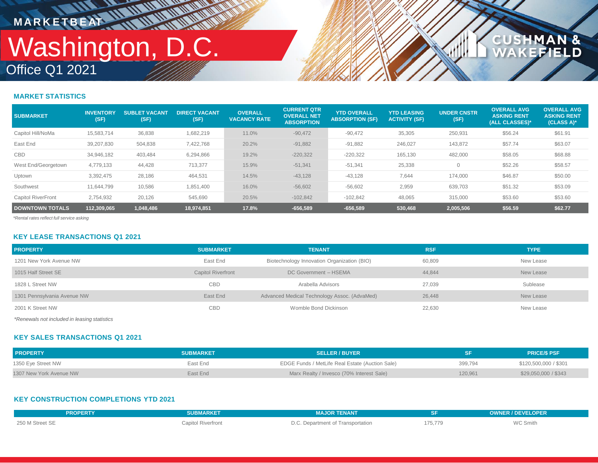## Office Q1 2021 Washington, D.C. **MARKETBEAT ANTIFORM**

**WWW** 

# **CUSHMAN &<br>WAKEFIELD**

### **MARKET STATISTICS**

| <b>SUBMARKET</b>          | <b>INVENTORY</b><br>(SF) | <b>SUBLET VACANT</b><br>(SF) | <b>DIRECT VACANT</b><br>(SF) | <b>OVERALL</b><br><b>VACANCY RATE</b> | <b>CURRENT QTR</b><br><b>OVERALL NET</b><br><b>ABSORPTION</b> | <b>YTD OVERALL</b><br><b>ABSORPTION (SF)</b> | <b>YTD LEASING</b><br><b>ACTIVITY (SF)</b> | <b>UNDER CNSTR</b><br>(SF) | <b>OVERALL AVG</b><br><b>ASKING RENT</b><br>(ALL CLASSES)* | <b>OVERALL AVG</b><br><b>ASKING RENT</b><br>(CLASS A)* |
|---------------------------|--------------------------|------------------------------|------------------------------|---------------------------------------|---------------------------------------------------------------|----------------------------------------------|--------------------------------------------|----------------------------|------------------------------------------------------------|--------------------------------------------------------|
| Capitol Hill/NoMa         | 15,583,714               | 36,838                       | 1,682,219                    | 11.0%                                 | $-90,472$                                                     | $-90,472$                                    | 35,305                                     | 250,931                    | \$56.24                                                    | \$61.91                                                |
| East End                  | 39,207,830               | 504,838                      | 7,422,768                    | 20.2%                                 | $-91,882$                                                     | $-91,882$                                    | 246,027                                    | 143,872                    | \$57.74                                                    | \$63.07                                                |
| <b>CBD</b>                | 34.946.182               | 403.484                      | 6,294,866                    | 19.2%                                 | $-220.322$                                                    | $-220,322$                                   | 165,130                                    | 482,000                    | \$58.05                                                    | \$68.88                                                |
| West End/Georgetown       | 4,779,133                | 44,428                       | 713,377                      | 15.9%                                 | $-51,341$                                                     | $-51,341$                                    | 25,338                                     |                            | \$52.26                                                    | \$58.57                                                |
| Uptown                    | 3,392,475                | 28,186                       | 464,531                      | 14.5%                                 | $-43,128$                                                     | $-43,128$                                    | 7.644                                      | 174,000                    | \$46.87                                                    | \$50.00                                                |
| Southwest                 | 11,644,799               | 10,586                       | 1,851,400                    | 16.0%                                 | $-56,602$                                                     | $-56,602$                                    | 2,959                                      | 639,703                    | \$51.32                                                    | \$53.09                                                |
| <b>Capitol RiverFront</b> | 2,754,932                | 20,126                       | 545,690                      | 20.5%                                 | $-102.842$                                                    | $-102,842$                                   | 48,065                                     | 315,000                    | \$53.60                                                    | \$53.60                                                |
| <b>DOWNTOWN TOTALS</b>    | 112.309.065              | 1,048,486                    | 18,974,851                   | 17.8%                                 | $-656,589$                                                    | $-656,589$                                   | 530,468                                    | 2,005,506                  | \$56.59                                                    | \$62.77                                                |

*\*Rental rates reflect full service asking*

### **KEY LEASE TRANSACTIONS Q1 2021**

| <b>PROPERTY</b>             | <b>SUBMARKET</b>          | <b>TENANT</b>                                | <b>RSF</b> | <b>TYPE</b> |
|-----------------------------|---------------------------|----------------------------------------------|------------|-------------|
| 1201 New York Avenue NW     | East End                  | Biotechnology Innovation Organization (BIO)  | 60,809     | New Lease   |
| 1015 Half Street SE         | <b>Capitol Riverfront</b> | DC Government - HSEMA                        | 44,844     | New Lease   |
| 1828 L Street NW            | <b>CBD</b>                | Arabella Advisors                            | 27,039     | Sublease    |
| 1301 Pennsylvania Avenue NW | East End                  | Advanced Medical Technology Assoc. (AdvaMed) | 26,448     | New Lease   |
| 2001 K Street NW            | <b>CBD</b>                | Womble Bond Dickinson                        | 22,630     | New Lease   |
|                             |                           |                                              |            |             |

*\*Renewals not included in leasing statistics*

### **KEY SALES TRANSACTIONS Q1 2021**

| <b>PROPERTY</b>         | <b>SUBMARKET</b> | <b>SELLER / BUYER</b>                           |         | <b>PRICE/S PSF</b>    |
|-------------------------|------------------|-------------------------------------------------|---------|-----------------------|
| 1350 Eye Street NW      | East End         | EDGE Funds / MetLife Real Estate (Auction Sale) | 399,794 | \$120,500,000 / \$301 |
| 1307 New York Avenue NW | East End         | Marx Realty / Invesco (70% Interest Sale)       | 120,961 | \$29,050,000 / \$343  |

### **KEY CONSTRUCTION COMPLETIONS YTD 2021**

| <b>PROPERTY</b> | <b>SUBMARKET</b>   | <b>MAJOR TENANT</b>               |         | OWNER / DEVELOPER |
|-----------------|--------------------|-----------------------------------|---------|-------------------|
| 250 M Street SE | Capitol Riverfront | D.C. Department of Transportation | 175,779 | WC Smith          |